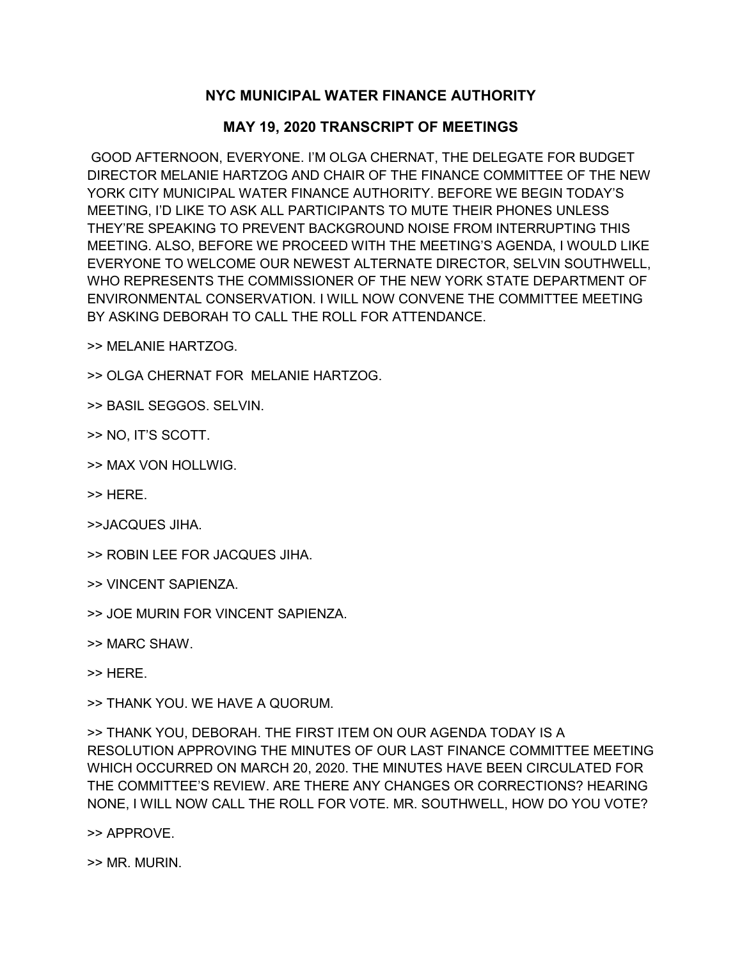## **NYC MUNICIPAL WATER FINANCE AUTHORITY**

## **MAY 19, 2020 TRANSCRIPT OF MEETINGS**

GOOD AFTERNOON, EVERYONE. I'M OLGA CHERNAT, THE DELEGATE FOR BUDGET DIRECTOR MELANIE HARTZOG AND CHAIR OF THE FINANCE COMMITTEE OF THE NEW YORK CITY MUNICIPAL WATER FINANCE AUTHORITY. BEFORE WE BEGIN TODAY'S MEETING, I'D LIKE TO ASK ALL PARTICIPANTS TO MUTE THEIR PHONES UNLESS THEY'RE SPEAKING TO PREVENT BACKGROUND NOISE FROM INTERRUPTING THIS MEETING. ALSO, BEFORE WE PROCEED WITH THE MEETING'S AGENDA, I WOULD LIKE EVERYONE TO WELCOME OUR NEWEST ALTERNATE DIRECTOR, SELVIN SOUTHWELL, WHO REPRESENTS THE COMMISSIONER OF THE NEW YORK STATE DEPARTMENT OF ENVIRONMENTAL CONSERVATION. I WILL NOW CONVENE THE COMMITTEE MEETING BY ASKING DEBORAH TO CALL THE ROLL FOR ATTENDANCE.

>> MELANIE HARTZOG.

>> OLGA CHERNAT FOR MELANIE HARTZOG.

>> BASIL SEGGOS. SELVIN.

>> NO, IT'S SCOTT.

>> MAX VON HOLLWIG.

>> HERE.

>>JACQUES JIHA.

>> ROBIN LEE FOR JACQUES JIHA.

>> VINCENT SAPIENZA.

>> JOE MURIN FOR VINCENT SAPIENZA.

>> MARC SHAW.

>> HERE.

>> THANK YOU. WE HAVE A QUORUM.

>> THANK YOU, DEBORAH. THE FIRST ITEM ON OUR AGENDA TODAY IS A RESOLUTION APPROVING THE MINUTES OF OUR LAST FINANCE COMMITTEE MEETING WHICH OCCURRED ON MARCH 20, 2020. THE MINUTES HAVE BEEN CIRCULATED FOR THE COMMITTEE'S REVIEW. ARE THERE ANY CHANGES OR CORRECTIONS? HEARING NONE, I WILL NOW CALL THE ROLL FOR VOTE. MR. SOUTHWELL, HOW DO YOU VOTE?

>> APPROVE.

>> MR. MURIN.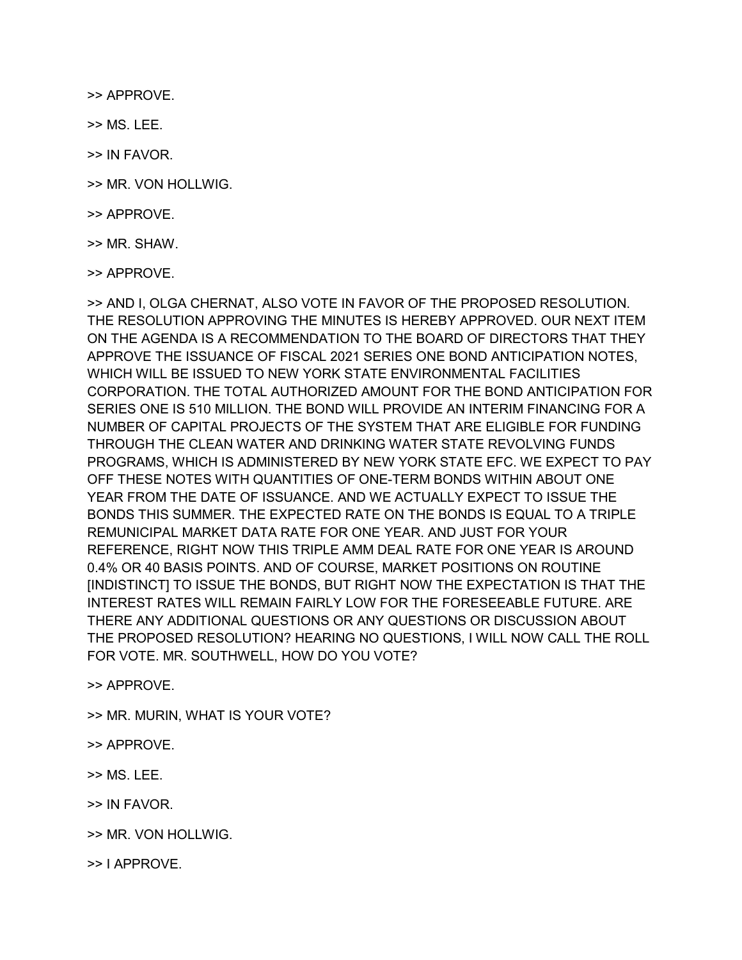>> APPROVE.

>> MS. LEE.

>> IN FAVOR.

>> MR. VON HOLLWIG.

>> APPROVE.

>> MR. SHAW.

>> APPROVE.

>> AND I, OLGA CHERNAT, ALSO VOTE IN FAVOR OF THE PROPOSED RESOLUTION. THE RESOLUTION APPROVING THE MINUTES IS HEREBY APPROVED. OUR NEXT ITEM ON THE AGENDA IS A RECOMMENDATION TO THE BOARD OF DIRECTORS THAT THEY APPROVE THE ISSUANCE OF FISCAL 2021 SERIES ONE BOND ANTICIPATION NOTES, WHICH WILL BE ISSUED TO NEW YORK STATE ENVIRONMENTAL FACILITIES CORPORATION. THE TOTAL AUTHORIZED AMOUNT FOR THE BOND ANTICIPATION FOR SERIES ONE IS 510 MILLION. THE BOND WILL PROVIDE AN INTERIM FINANCING FOR A NUMBER OF CAPITAL PROJECTS OF THE SYSTEM THAT ARE ELIGIBLE FOR FUNDING THROUGH THE CLEAN WATER AND DRINKING WATER STATE REVOLVING FUNDS PROGRAMS, WHICH IS ADMINISTERED BY NEW YORK STATE EFC. WE EXPECT TO PAY OFF THESE NOTES WITH QUANTITIES OF ONE-TERM BONDS WITHIN ABOUT ONE YEAR FROM THE DATE OF ISSUANCE. AND WE ACTUALLY EXPECT TO ISSUE THE BONDS THIS SUMMER. THE EXPECTED RATE ON THE BONDS IS EQUAL TO A TRIPLE REMUNICIPAL MARKET DATA RATE FOR ONE YEAR. AND JUST FOR YOUR REFERENCE, RIGHT NOW THIS TRIPLE AMM DEAL RATE FOR ONE YEAR IS AROUND 0.4% OR 40 BASIS POINTS. AND OF COURSE, MARKET POSITIONS ON ROUTINE [INDISTINCT] TO ISSUE THE BONDS, BUT RIGHT NOW THE EXPECTATION IS THAT THE INTEREST RATES WILL REMAIN FAIRLY LOW FOR THE FORESEEABLE FUTURE. ARE THERE ANY ADDITIONAL QUESTIONS OR ANY QUESTIONS OR DISCUSSION ABOUT THE PROPOSED RESOLUTION? HEARING NO QUESTIONS, I WILL NOW CALL THE ROLL FOR VOTE. MR. SOUTHWELL, HOW DO YOU VOTE?

>> APPROVE.

>> MR. MURIN, WHAT IS YOUR VOTE?

>> APPROVE.

>> MS. LEE.

>> IN FAVOR.

>> MR. VON HOLLWIG.

>> I APPROVE.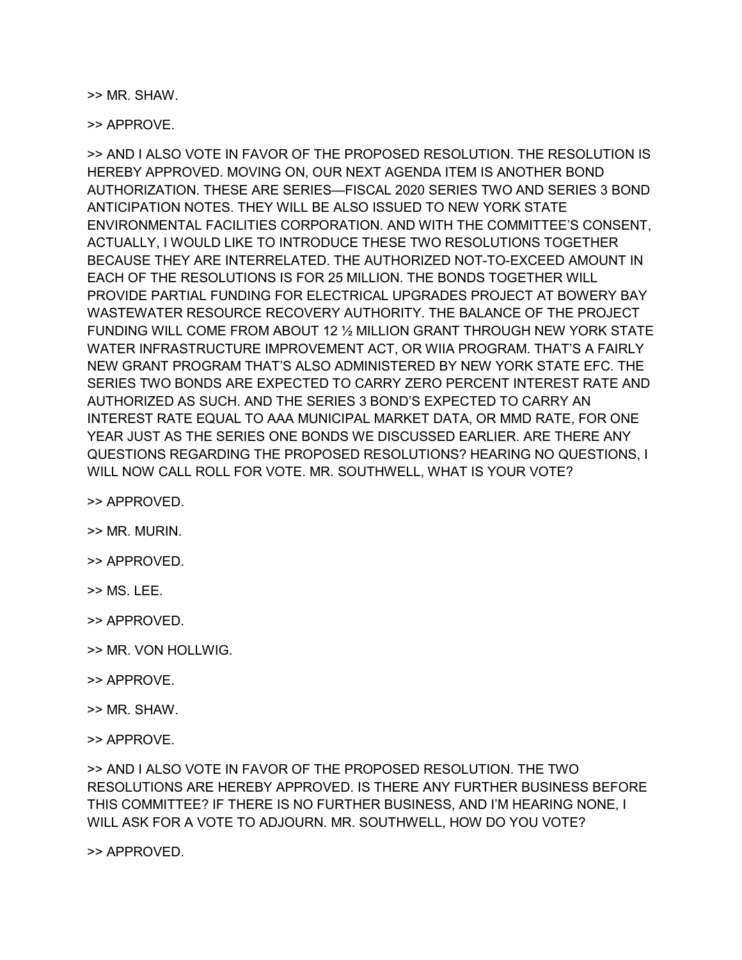>> MR. SHAW.

>> APPROVE.

>> AND I ALSO VOTE IN FAVOR OF THE PROPOSED RESOLUTION. THE RESOLUTION IS HEREBY APPROVED. MOVING ON, OUR NEXT AGENDA ITEM IS ANOTHER BOND AUTHORIZATION. THESE ARE SERIES—FISCAL 2020 SERIES TWO AND SERIES 3 BOND ANTICIPATION NOTES. THEY WILL BE ALSO ISSUED TO NEW YORK STATE ENVIRONMENTAL FACILITIES CORPORATION. AND WITH THE COMMITTEE'S CONSENT, ACTUALLY, I WOULD LIKE TO INTRODUCE THESE TWO RESOLUTIONS TOGETHER BECAUSE THEY ARE INTERRELATED. THE AUTHORIZED NOT-TO-EXCEED AMOUNT IN EACH OF THE RESOLUTIONS IS FOR 25 MILLION. THE BONDS TOGETHER WILL PROVIDE PARTIAL FUNDING FOR ELECTRICAL UPGRADES PROJECT AT BOWERY BAY WASTEWATER RESOURCE RECOVERY AUTHORITY. THE BALANCE OF THE PROJECT FUNDING WILL COME FROM ABOUT 12 ½ MILLION GRANT THROUGH NEW YORK STATE WATER INFRASTRUCTURE IMPROVEMENT ACT, OR WIIA PROGRAM. THAT'S A FAIRLY NEW GRANT PROGRAM THAT'S ALSO ADMINISTERED BY NEW YORK STATE EFC. THE SERIES TWO BONDS ARE EXPECTED TO CARRY ZERO PERCENT INTEREST RATE AND AUTHORIZED AS SUCH. AND THE SERIES 3 BOND'S EXPECTED TO CARRY AN INTEREST RATE EQUAL TO AAA MUNICIPAL MARKET DATA, OR MMD RATE, FOR ONE YEAR JUST AS THE SERIES ONE BONDS WE DISCUSSED EARLIER. ARE THERE ANY QUESTIONS REGARDING THE PROPOSED RESOLUTIONS? HEARING NO QUESTIONS, I WILL NOW CALL ROLL FOR VOTE. MR. SOUTHWELL, WHAT IS YOUR VOTE?

>> APPROVED.

- >> MR. MURIN.
- >> APPROVED.
- >> MS. LEE.
- >> APPROVED.
- >> MR. VON HOLLWIG.
- >> APPROVE.
- >> MR. SHAW.
- >> APPROVE.

>> AND I ALSO VOTE IN FAVOR OF THE PROPOSED RESOLUTION. THE TWO RESOLUTIONS ARE HEREBY APPROVED. IS THERE ANY FURTHER BUSINESS BEFORE THIS COMMITTEE? IF THERE IS NO FURTHER BUSINESS, AND I'M HEARING NONE, I WILL ASK FOR A VOTE TO ADJOURN. MR. SOUTHWELL, HOW DO YOU VOTE?

>> APPROVED.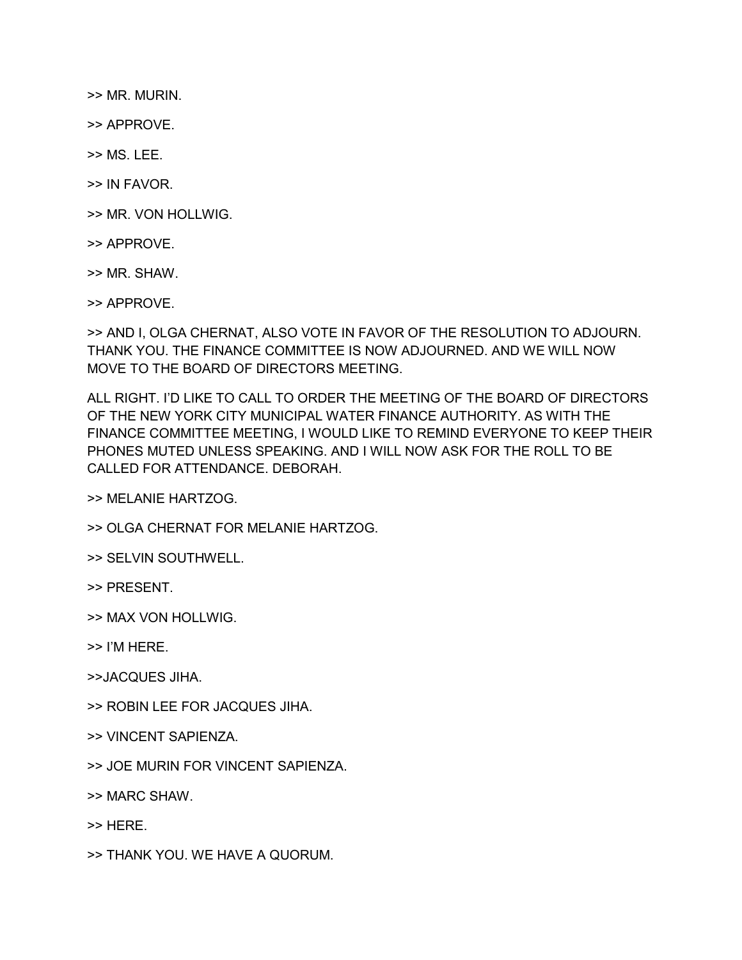>> MR. MURIN.

>> APPROVE.

>> MS. LEE.

>> IN FAVOR.

>> MR. VON HOLLWIG.

>> APPROVE.

>> MR. SHAW.

>> APPROVE.

>> AND I, OLGA CHERNAT, ALSO VOTE IN FAVOR OF THE RESOLUTION TO ADJOURN. THANK YOU. THE FINANCE COMMITTEE IS NOW ADJOURNED. AND WE WILL NOW MOVE TO THE BOARD OF DIRECTORS MEETING.

ALL RIGHT. I'D LIKE TO CALL TO ORDER THE MEETING OF THE BOARD OF DIRECTORS OF THE NEW YORK CITY MUNICIPAL WATER FINANCE AUTHORITY. AS WITH THE FINANCE COMMITTEE MEETING, I WOULD LIKE TO REMIND EVERYONE TO KEEP THEIR PHONES MUTED UNLESS SPEAKING. AND I WILL NOW ASK FOR THE ROLL TO BE CALLED FOR ATTENDANCE. DEBORAH.

>> MELANIE HARTZOG.

>> OLGA CHERNAT FOR MELANIE HARTZOG.

>> SELVIN SOUTHWELL.

>> PRESENT.

>> MAX VON HOLLWIG.

>> I'M HERE.

>>JACQUES JIHA.

>> ROBIN LEE FOR JACQUES JIHA.

>> VINCENT SAPIENZA.

>> JOE MURIN FOR VINCENT SAPIENZA.

>> MARC SHAW.

>> HERE.

>> THANK YOU. WE HAVE A QUORUM.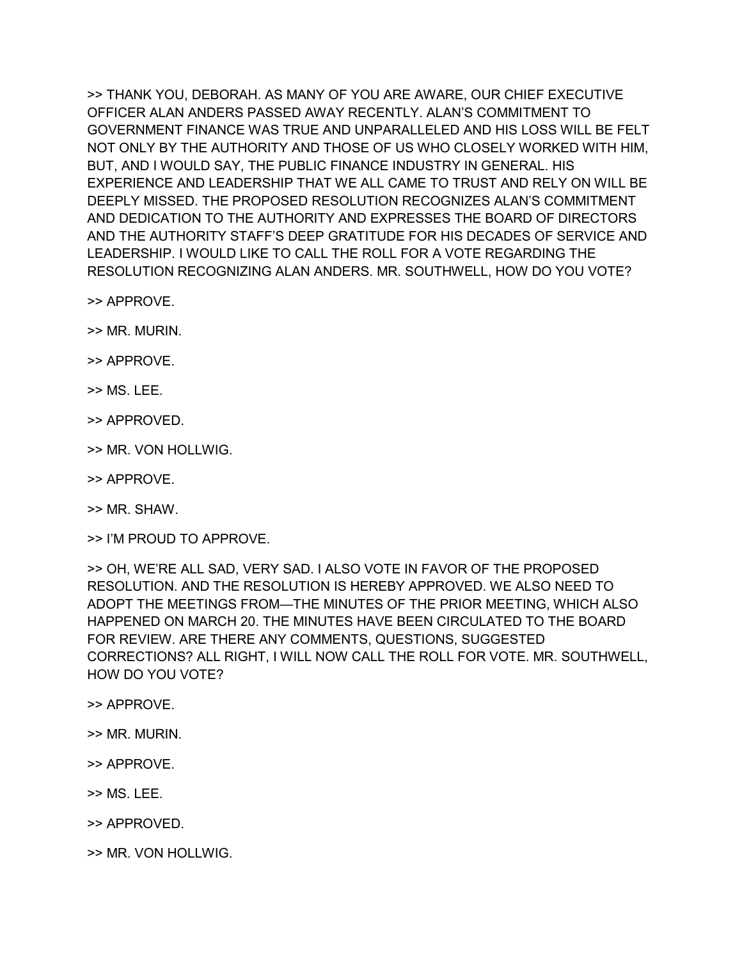>> THANK YOU, DEBORAH. AS MANY OF YOU ARE AWARE, OUR CHIEF EXECUTIVE OFFICER ALAN ANDERS PASSED AWAY RECENTLY. ALAN'S COMMITMENT TO GOVERNMENT FINANCE WAS TRUE AND UNPARALLELED AND HIS LOSS WILL BE FELT NOT ONLY BY THE AUTHORITY AND THOSE OF US WHO CLOSELY WORKED WITH HIM, BUT, AND I WOULD SAY, THE PUBLIC FINANCE INDUSTRY IN GENERAL. HIS EXPERIENCE AND LEADERSHIP THAT WE ALL CAME TO TRUST AND RELY ON WILL BE DEEPLY MISSED. THE PROPOSED RESOLUTION RECOGNIZES ALAN'S COMMITMENT AND DEDICATION TO THE AUTHORITY AND EXPRESSES THE BOARD OF DIRECTORS AND THE AUTHORITY STAFF'S DEEP GRATITUDE FOR HIS DECADES OF SERVICE AND LEADERSHIP. I WOULD LIKE TO CALL THE ROLL FOR A VOTE REGARDING THE RESOLUTION RECOGNIZING ALAN ANDERS. MR. SOUTHWELL, HOW DO YOU VOTE?

>> APPROVE.

>> MR. MURIN.

>> APPROVE.

>> MS. LEE.

>> APPROVED.

>> MR. VON HOLLWIG.

>> APPROVE.

>> MR. SHAW.

>> I'M PROUD TO APPROVE.

>> OH, WE'RE ALL SAD, VERY SAD. I ALSO VOTE IN FAVOR OF THE PROPOSED RESOLUTION. AND THE RESOLUTION IS HEREBY APPROVED. WE ALSO NEED TO ADOPT THE MEETINGS FROM—THE MINUTES OF THE PRIOR MEETING, WHICH ALSO HAPPENED ON MARCH 20. THE MINUTES HAVE BEEN CIRCULATED TO THE BOARD FOR REVIEW. ARE THERE ANY COMMENTS, QUESTIONS, SUGGESTED CORRECTIONS? ALL RIGHT, I WILL NOW CALL THE ROLL FOR VOTE. MR. SOUTHWELL, HOW DO YOU VOTE?

>> APPROVE.

>> MR. MURIN.

>> APPROVE.

>> MS. LEE.

>> APPROVED.

>> MR. VON HOLLWIG.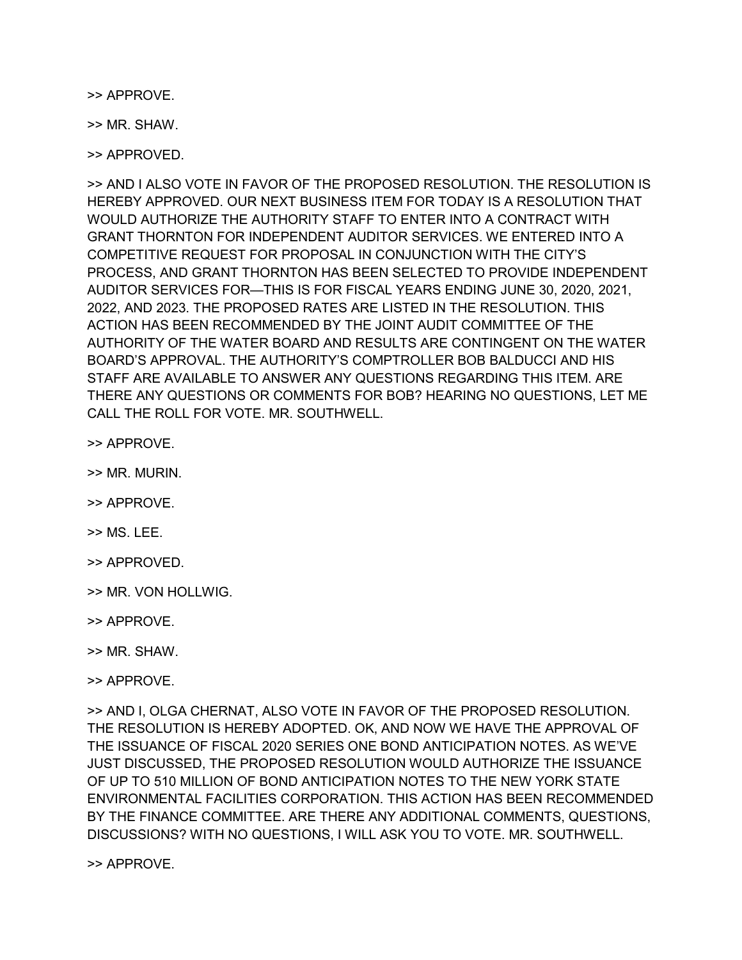>> APPROVE.

>> MR. SHAW.

>> APPROVED.

>> AND I ALSO VOTE IN FAVOR OF THE PROPOSED RESOLUTION. THE RESOLUTION IS HEREBY APPROVED. OUR NEXT BUSINESS ITEM FOR TODAY IS A RESOLUTION THAT WOULD AUTHORIZE THE AUTHORITY STAFF TO ENTER INTO A CONTRACT WITH GRANT THORNTON FOR INDEPENDENT AUDITOR SERVICES. WE ENTERED INTO A COMPETITIVE REQUEST FOR PROPOSAL IN CONJUNCTION WITH THE CITY'S PROCESS, AND GRANT THORNTON HAS BEEN SELECTED TO PROVIDE INDEPENDENT AUDITOR SERVICES FOR—THIS IS FOR FISCAL YEARS ENDING JUNE 30, 2020, 2021, 2022, AND 2023. THE PROPOSED RATES ARE LISTED IN THE RESOLUTION. THIS ACTION HAS BEEN RECOMMENDED BY THE JOINT AUDIT COMMITTEE OF THE AUTHORITY OF THE WATER BOARD AND RESULTS ARE CONTINGENT ON THE WATER BOARD'S APPROVAL. THE AUTHORITY'S COMPTROLLER BOB BALDUCCI AND HIS STAFF ARE AVAILABLE TO ANSWER ANY QUESTIONS REGARDING THIS ITEM. ARE THERE ANY QUESTIONS OR COMMENTS FOR BOB? HEARING NO QUESTIONS, LET ME CALL THE ROLL FOR VOTE. MR. SOUTHWELL.

>> APPROVE.

>> MR. MURIN.

>> APPROVE.

>> MS. LEE.

>> APPROVED.

>> MR. VON HOLLWIG.

>> APPROVE.

>> MR. SHAW.

>> APPROVE.

>> AND I, OLGA CHERNAT, ALSO VOTE IN FAVOR OF THE PROPOSED RESOLUTION. THE RESOLUTION IS HEREBY ADOPTED. OK, AND NOW WE HAVE THE APPROVAL OF THE ISSUANCE OF FISCAL 2020 SERIES ONE BOND ANTICIPATION NOTES. AS WE'VE JUST DISCUSSED, THE PROPOSED RESOLUTION WOULD AUTHORIZE THE ISSUANCE OF UP TO 510 MILLION OF BOND ANTICIPATION NOTES TO THE NEW YORK STATE ENVIRONMENTAL FACILITIES CORPORATION. THIS ACTION HAS BEEN RECOMMENDED BY THE FINANCE COMMITTEE. ARE THERE ANY ADDITIONAL COMMENTS, QUESTIONS, DISCUSSIONS? WITH NO QUESTIONS, I WILL ASK YOU TO VOTE. MR. SOUTHWELL.

>> APPROVE.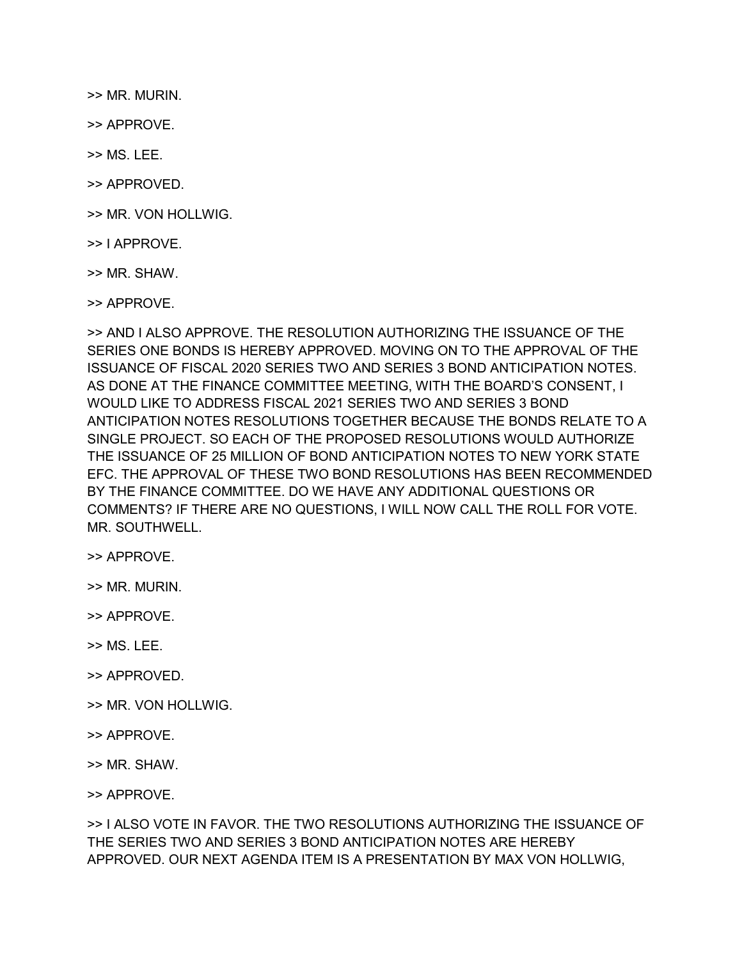>> MR. MURIN.

>> APPROVE.

>> MS. LEE.

>> APPROVED.

>> MR. VON HOLLWIG.

>> I APPROVE.

>> MR. SHAW.

>> APPROVE.

>> AND I ALSO APPROVE. THE RESOLUTION AUTHORIZING THE ISSUANCE OF THE SERIES ONE BONDS IS HEREBY APPROVED. MOVING ON TO THE APPROVAL OF THE ISSUANCE OF FISCAL 2020 SERIES TWO AND SERIES 3 BOND ANTICIPATION NOTES. AS DONE AT THE FINANCE COMMITTEE MEETING, WITH THE BOARD'S CONSENT, I WOULD LIKE TO ADDRESS FISCAL 2021 SERIES TWO AND SERIES 3 BOND ANTICIPATION NOTES RESOLUTIONS TOGETHER BECAUSE THE BONDS RELATE TO A SINGLE PROJECT. SO EACH OF THE PROPOSED RESOLUTIONS WOULD AUTHORIZE THE ISSUANCE OF 25 MILLION OF BOND ANTICIPATION NOTES TO NEW YORK STATE EFC. THE APPROVAL OF THESE TWO BOND RESOLUTIONS HAS BEEN RECOMMENDED BY THE FINANCE COMMITTEE. DO WE HAVE ANY ADDITIONAL QUESTIONS OR COMMENTS? IF THERE ARE NO QUESTIONS, I WILL NOW CALL THE ROLL FOR VOTE. MR. SOUTHWELL.

>> APPROVE.

>> MR. MURIN.

>> APPROVE.

- >> MS. LEE.
- >> APPROVED.
- >> MR. VON HOLLWIG.
- >> APPROVE.
- >> MR. SHAW.

>> APPROVE.

>> I ALSO VOTE IN FAVOR. THE TWO RESOLUTIONS AUTHORIZING THE ISSUANCE OF THE SERIES TWO AND SERIES 3 BOND ANTICIPATION NOTES ARE HEREBY APPROVED. OUR NEXT AGENDA ITEM IS A PRESENTATION BY MAX VON HOLLWIG,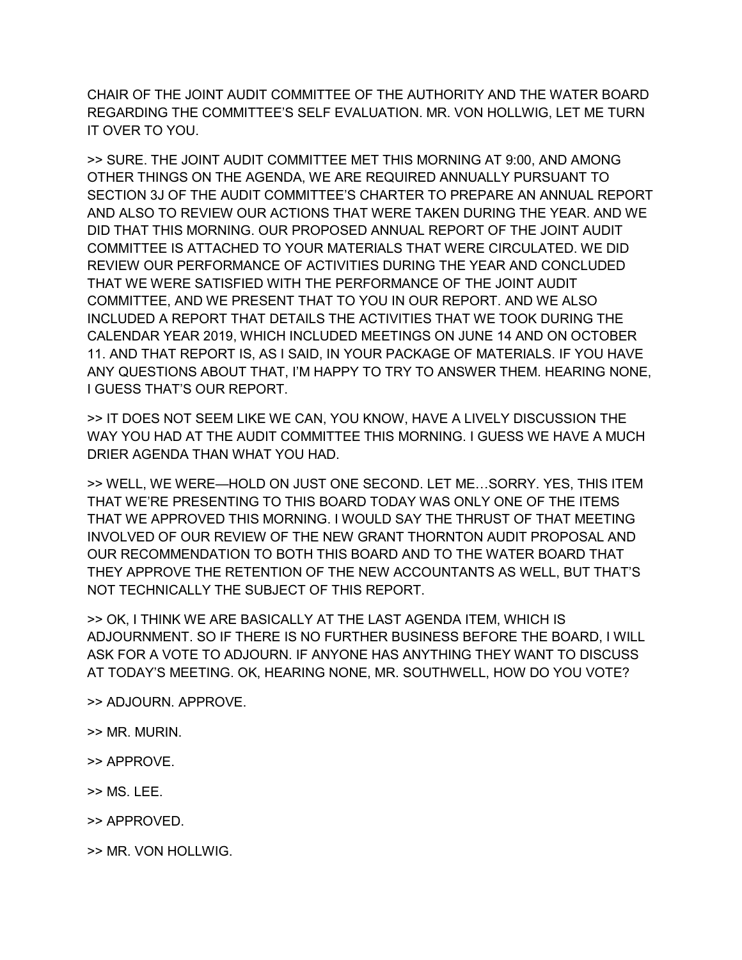CHAIR OF THE JOINT AUDIT COMMITTEE OF THE AUTHORITY AND THE WATER BOARD REGARDING THE COMMITTEE'S SELF EVALUATION. MR. VON HOLLWIG, LET ME TURN IT OVER TO YOU.

>> SURE. THE JOINT AUDIT COMMITTEE MET THIS MORNING AT 9:00, AND AMONG OTHER THINGS ON THE AGENDA, WE ARE REQUIRED ANNUALLY PURSUANT TO SECTION 3J OF THE AUDIT COMMITTEE'S CHARTER TO PREPARE AN ANNUAL REPORT AND ALSO TO REVIEW OUR ACTIONS THAT WERE TAKEN DURING THE YEAR. AND WE DID THAT THIS MORNING. OUR PROPOSED ANNUAL REPORT OF THE JOINT AUDIT COMMITTEE IS ATTACHED TO YOUR MATERIALS THAT WERE CIRCULATED. WE DID REVIEW OUR PERFORMANCE OF ACTIVITIES DURING THE YEAR AND CONCLUDED THAT WE WERE SATISFIED WITH THE PERFORMANCE OF THE JOINT AUDIT COMMITTEE, AND WE PRESENT THAT TO YOU IN OUR REPORT. AND WE ALSO INCLUDED A REPORT THAT DETAILS THE ACTIVITIES THAT WE TOOK DURING THE CALENDAR YEAR 2019, WHICH INCLUDED MEETINGS ON JUNE 14 AND ON OCTOBER 11. AND THAT REPORT IS, AS I SAID, IN YOUR PACKAGE OF MATERIALS. IF YOU HAVE ANY QUESTIONS ABOUT THAT, I'M HAPPY TO TRY TO ANSWER THEM. HEARING NONE, I GUESS THAT'S OUR REPORT.

>> IT DOES NOT SEEM LIKE WE CAN, YOU KNOW, HAVE A LIVELY DISCUSSION THE WAY YOU HAD AT THE AUDIT COMMITTEE THIS MORNING. I GUESS WE HAVE A MUCH DRIER AGENDA THAN WHAT YOU HAD.

>> WELL, WE WERE—HOLD ON JUST ONE SECOND. LET ME…SORRY. YES, THIS ITEM THAT WE'RE PRESENTING TO THIS BOARD TODAY WAS ONLY ONE OF THE ITEMS THAT WE APPROVED THIS MORNING. I WOULD SAY THE THRUST OF THAT MEETING INVOLVED OF OUR REVIEW OF THE NEW GRANT THORNTON AUDIT PROPOSAL AND OUR RECOMMENDATION TO BOTH THIS BOARD AND TO THE WATER BOARD THAT THEY APPROVE THE RETENTION OF THE NEW ACCOUNTANTS AS WELL, BUT THAT'S NOT TECHNICALLY THE SUBJECT OF THIS REPORT.

>> OK, I THINK WE ARE BASICALLY AT THE LAST AGENDA ITEM, WHICH IS ADJOURNMENT. SO IF THERE IS NO FURTHER BUSINESS BEFORE THE BOARD, I WILL ASK FOR A VOTE TO ADJOURN. IF ANYONE HAS ANYTHING THEY WANT TO DISCUSS AT TODAY'S MEETING. OK, HEARING NONE, MR. SOUTHWELL, HOW DO YOU VOTE?

- >> ADJOURN. APPROVE.
- >> MR. MURIN.
- >> APPROVE.
- >> MS. LEE.
- >> APPROVED.
- >> MR. VON HOLLWIG.